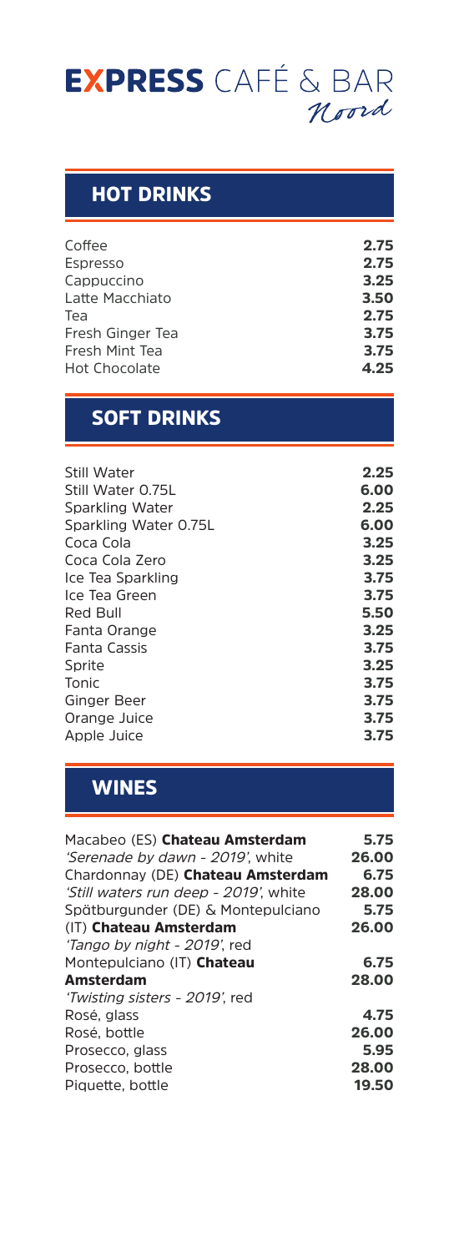# **EXPRESS** CAFÉ & BAR

### HOT DRINKS

| Coffee               | 2.75 |
|----------------------|------|
| Espresso             | 2.75 |
| Cappuccino           | 3.25 |
| Latte Macchiato      | 3.50 |
| Tea                  | 2.75 |
| Fresh Ginger Tea     | 3.75 |
| Fresh Mint Tea       | 3.75 |
| <b>Hot Chocolate</b> | 4.25 |
|                      |      |

## SOFT DRINKS

| Still Water           | 2.25 |
|-----------------------|------|
| Still Water 0.75L     | 6.00 |
| Sparkling Water       | 2.25 |
| Sparkling Water 0.75L | 6.00 |
| Coca Cola             | 3.25 |
| Coca Cola Zero        | 3.25 |
| Ice Tea Sparkling     | 3.75 |
| Ice Tea Green         | 3.75 |
| Red Bull              | 5.50 |
| Fanta Orange          | 3.25 |
| Fanta Cassis          | 3.75 |
| Sprite                | 3.25 |
| Tonic                 | 3.75 |
| Ginger Beer           | 3.75 |
| Orange Juice          | 3.75 |
| Apple Juice           | 3.75 |
|                       |      |

# **WINES**

| Macabeo (ES) Chateau Amsterdam        | 5.75  |
|---------------------------------------|-------|
| 'Serenade by dawn - 2019' white       | 26.00 |
| Chardonnay (DE) Chateau Amsterdam     | 6.75  |
| 'Still waters run deep - 2019', white | 28.00 |
| Spätburgunder (DE) & Montepulciano    | 5.75  |
| (IT) Chateau Amsterdam                | 26.00 |
| 'Tango by night - 2019', red          |       |
| Montepulciano (IT) Chateau            | 6.75  |
| Amsterdam                             | 28.00 |
| 'Twisting sisters - 2019', red        |       |
| Rosé, glass                           | 4.75  |
| Rosé, bottle                          | 26.00 |
| Prosecco, glass                       | 5.95  |
| Prosecco, bottle                      | 28.00 |
| Piquette, bottle                      | 19.50 |
|                                       |       |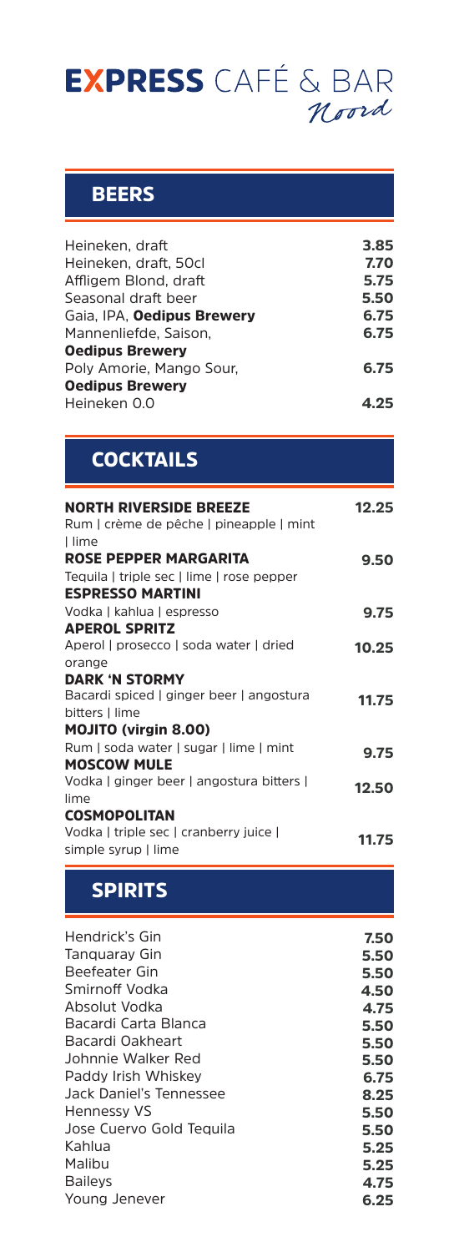# **EXPRESS** CAFÉ & BAR

#### **BEERS**

| Heineken. draft                   | 3.85 |
|-----------------------------------|------|
| Heineken, draft, 50cl             | 7.70 |
| Affligem Blond, draft             | 5.75 |
| Seasonal draft beer               | 5.50 |
| Gaia, IPA, <b>Oedipus Brewery</b> | 6.75 |
| Mannenliefde. Saison.             | 6.75 |
| <b>Oedipus Brewery</b>            |      |
| Poly Amorie, Mango Sour,          | 6.75 |
| <b>Oedipus Brewery</b>            |      |
| Heineken 0.0                      |      |
|                                   |      |

# **COCKTAILS**

| <b>NORTH RIVERSIDE BREEZE</b><br>Rum   crème de pêche   pineapple   mint<br>I lime                   | 12.25 |
|------------------------------------------------------------------------------------------------------|-------|
| <b>ROSE PEPPER MARGARITA</b><br>Tequila   triple sec   lime   rose pepper<br><b>ESPRESSO MARTINI</b> | 9.50  |
| Vodka   kahlua   espresso                                                                            | 9.75  |
| <b>APEROL SPRITZ</b><br>Aperol   prosecco   soda water   dried                                       | 10.25 |
| orange<br><b>DARK 'N STORMY</b><br>Bacardi spiced   ginger beer   angostura                          | 11.75 |
| bitters   lime<br><b>MOJITO (virgin 8.00)</b>                                                        |       |
| Rum   soda water   sugar   lime   mint<br><b>MOSCOW MULE</b>                                         | 9.75  |
| Vodka   ginger beer   angostura bitters  <br>lime                                                    | 12.50 |
| <b>COSMOPOLITAN</b>                                                                                  |       |
| Vodka   triple sec   cranberry juice  <br>simple syrup   lime                                        | 11.75 |

# SPIRITS

| Hendrick's Gin           | 7.50 |
|--------------------------|------|
| Tanguaray Gin            | 5.50 |
| Beefeater Gin            | 5.50 |
| Smirnoff Vodka           | 4.50 |
| Absolut Vodka            | 4.75 |
| Bacardi Carta Blanca     | 5.50 |
| Bacardi Oakheart         | 5.50 |
| Johnnie Walker Red       | 5.50 |
| Paddy Irish Whiskey      | 6.75 |
| Jack Daniel's Tennessee  | 8.25 |
| Hennessy VS              | 5.50 |
| Jose Cuervo Gold Teguila | 5.50 |
| Kahlua                   | 5.25 |
| Malibu                   | 5.25 |
| <b>Bailevs</b>           | 4.75 |
| Young Jenever            | 6.25 |
|                          |      |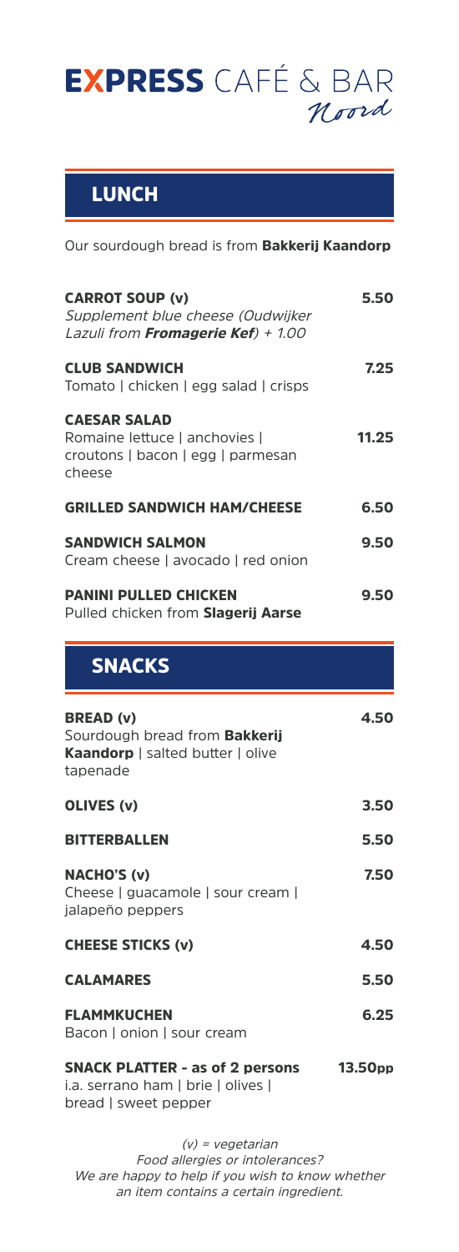

## LUNCH

Our sourdough bread is from **Bakkerij Kaandorp** 

| <b>CARROT SOUP (v)</b><br>Supplement blue cheese (Oudwijker<br>Lazuli from Fromagerie Kef) + 1.00        | 5.50  |
|----------------------------------------------------------------------------------------------------------|-------|
| <b>CLUB SANDWICH</b><br>Tomato   chicken   egg salad   crisps                                            | 7.25  |
| <b>CAESAR SALAD</b><br>Romaine lettuce   anchovies  <br>croutons   bacon   egg   parmesan<br>cheese      | 11.25 |
| <b>GRILLED SANDWICH HAM/CHEESE</b>                                                                       | 6.50  |
| <b>SANDWICH SALMON</b><br>Cream cheese   avocado   red onion                                             | 9.50  |
| <b>PANINI PULLED CHICKEN</b><br>Pulled chicken from Slagerij Aarse                                       | 9.50  |
| <b>SNACKS</b>                                                                                            |       |
| <b>BREAD (v)</b><br>Sourdough bread from <b>Bakkerij</b><br>Kaandorp   salted butter   olive<br>tapenade | 4.50  |
| OLIVES (v)                                                                                               | 3.50  |
| <b>BITTERBALLEN</b>                                                                                      | 5.50  |
| <b>NACHO'S (v)</b><br>Cheese   guacamole   sour cream                                                    | 7.50  |
| jalapeño peppers                                                                                         |       |
| <b>CHEESE STICKS (v)</b>                                                                                 | 4.50  |
| <b>CALAMARES</b>                                                                                         | 5.50  |
| <b>FLAMMKUCHEN</b><br>Bacon   onion   sour cream                                                         | 6.25  |

(v) = vegetarian Food allergies or intolerances? We are happy to help if you wish to know whether an item contains a certain ingredient.